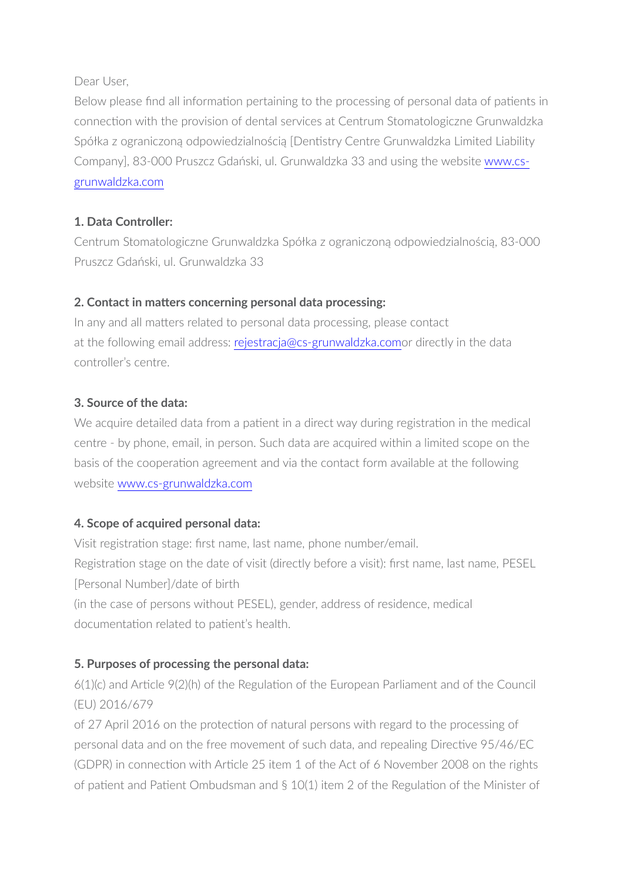Dear User,

Below please find all information pertaining to the processing of personal data of patients in connection with the provision of dental services at Centrum Stomatologiczne Grunwaldzka Spółka z ograniczoną odpowiedzialnością [Dentistry Centre Grunwaldzka Limited Liability Company], 83-000 Pruszcz Gdański, ul. Grunwaldzka 33 and using the website [www.cs](http://www.cs-grunwaldzka.com)[grunwaldzka.com](http://www.cs-grunwaldzka.com)

# **1. Data Controller:**

Centrum Stomatologiczne Grunwaldzka Spółka z ograniczoną odpowiedzialnością, 83-000 Pruszcz Gdański, ul. Grunwaldzka 33

# **2. Contact in matters concerning personal data processing:**

In any and all matters related to personal data processing, please contact at the following email address: [rejestracja@cs-grunwaldzka.como](mailto:rejestracja@cs-grunwaldzka.com)r directly in the data controller's centre.

# **3. Source of the data:**

We acquire detailed data from a patient in a direct way during registration in the medical centre - by phone, email, in person. Such data are acquired within a limited scope on the basis of the cooperation agreement and via the contact form available at the following website [www.cs-grunwaldzka.com](http://www.cs-grunwaldzka.com)

# **4. Scope of acquired personal data:**

Visit registration stage: first name, last name, phone number/email. Registration stage on the date of visit (directly before a visit): first name, last name, PESEL [Personal Number]/date of birth

(in the case of persons without PESEL), gender, address of residence, medical documentation related to patient's health.

# **5. Purposes of processing the personal data:**

6(1)(c) and Article 9(2)(h) of the Regulation of the European Parliament and of the Council (EU) 2016/679

of 27 April 2016 on the protection of natural persons with regard to the processing of personal data and on the free movement of such data, and repealing Directive 95/46/EC (GDPR) in connection with Article 25 item 1 of the Act of 6 November 2008 on the rights of patient and Patient Ombudsman and § 10(1) item 2 of the Regulation of the Minister of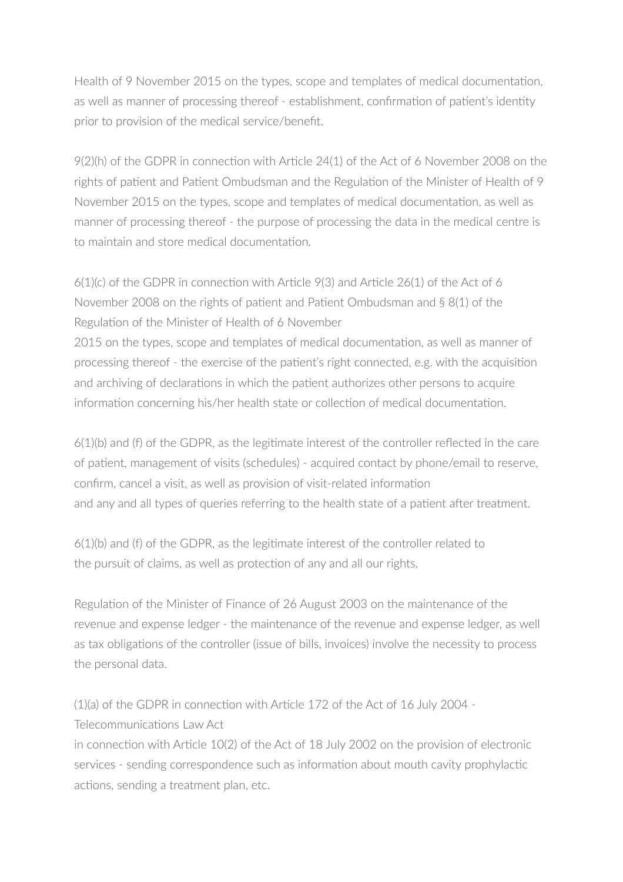Health of 9 November 2015 on the types, scope and templates of medical documentation, as well as manner of processing thereof - establishment, confirmation of patient's identity prior to provision of the medical service/benefit.

9(2)(h) of the GDPR in connection with Article 24(1) of the Act of 6 November 2008 on the rights of patient and Patient Ombudsman and the Regulation of the Minister of Health of 9 November 2015 on the types, scope and templates of medical documentation, as well as manner of processing thereof - the purpose of processing the data in the medical centre is to maintain and store medical documentation.

6(1)(c) of the GDPR in connection with Article 9(3) and Article 26(1) of the Act of 6 November 2008 on the rights of patient and Patient Ombudsman and § 8(1) of the Regulation of the Minister of Health of 6 November

2015 on the types, scope and templates of medical documentation, as well as manner of processing thereof - the exercise of the patient's right connected, e.g. with the acquisition and archiving of declarations in which the patient authorizes other persons to acquire information concerning his/her health state or collection of medical documentation.

6(1)(b) and (f) of the GDPR, as the legitimate interest of the controller reflected in the care of patient, management of visits (schedules) - acquired contact by phone/email to reserve, confirm, cancel a visit, as well as provision of visit-related information and any and all types of queries referring to the health state of a patient after treatment.

6(1)(b) and (f) of the GDPR, as the legitimate interest of the controller related to the pursuit of claims, as well as protection of any and all our rights.

Regulation of the Minister of Finance of 26 August 2003 on the maintenance of the revenue and expense ledger - the maintenance of the revenue and expense ledger, as well as tax obligations of the controller (issue of bills, invoices) involve the necessity to process the personal data.

(1)(a) of the GDPR in connection with Article 172 of the Act of 16 July 2004 - Telecommunications Law Act

in connection with Article 10(2) of the Act of 18 July 2002 on the provision of electronic services - sending correspondence such as information about mouth cavity prophylactic actions, sending a treatment plan, etc.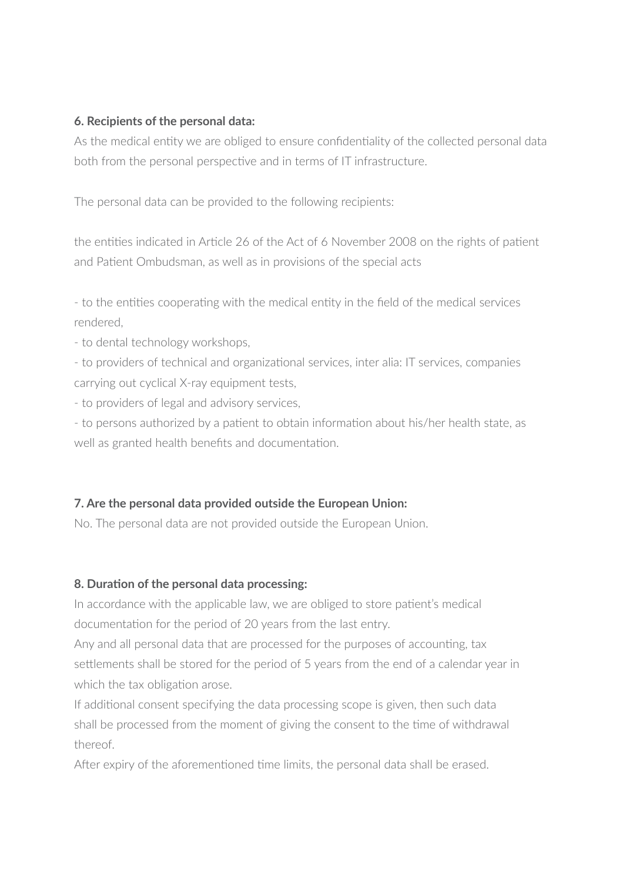#### **6. Recipients of the personal data:**

As the medical entity we are obliged to ensure confidentiality of the collected personal data both from the personal perspective and in terms of IT infrastructure.

The personal data can be provided to the following recipients:

the entities indicated in Article 26 of the Act of 6 November 2008 on the rights of patient and Patient Ombudsman, as well as in provisions of the special acts

- to the entities cooperating with the medical entity in the field of the medical services rendered,

- to dental technology workshops,

- to providers of technical and organizational services, inter alia: IT services, companies carrying out cyclical X-ray equipment tests,

- to providers of legal and advisory services,

- to persons authorized by a patient to obtain information about his/her health state, as well as granted health benefits and documentation.

### **7. Are the personal data provided outside the European Union:**

No. The personal data are not provided outside the European Union.

#### **8. Duration of the personal data processing:**

In accordance with the applicable law, we are obliged to store patient's medical documentation for the period of 20 years from the last entry.

Any and all personal data that are processed for the purposes of accounting, tax settlements shall be stored for the period of 5 years from the end of a calendar year in which the tax obligation arose.

If additional consent specifying the data processing scope is given, then such data shall be processed from the moment of giving the consent to the time of withdrawal thereof.

After expiry of the aforementioned time limits, the personal data shall be erased.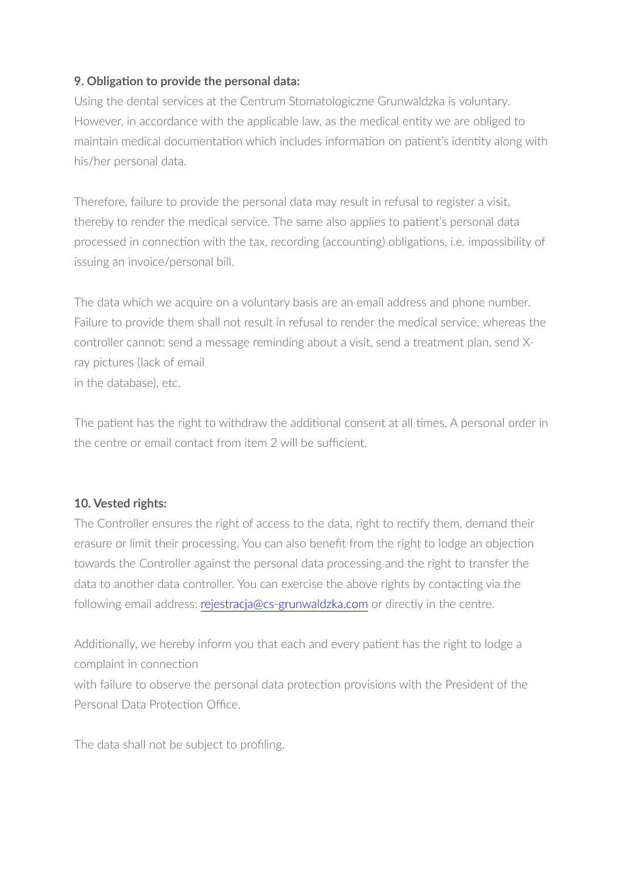## **9. Obligation to provide the personal data:**

Using the dental services at the Centrum Stomatologiczne Grunwaldzka is voluntary. However, in accordance with the applicable law, as the medical entity we are obliged to maintain medical documentation which includes information on patient's identity along with his/her personal data.

Therefore, failure to provide the personal data may result in refusal to register a visit, thereby to render the medical service. The same also applies to patient's personal data processed in connection with the tax, recording (accounting) obligations, i.e. impossibility of issuing an invoice/personal bill.

The data which we acquire on a voluntary basis are an email address and phone number. Failure to provide them shall not result in refusal to render the medical service, whereas the controller cannot: send a message reminding about a visit, send a treatment plan, send Xray pictures (lack of email in the database), etc.

The patient has the right to withdraw the additional consent at all times. A personal order in the centre or email contact from item 2 will be sufficient.

### **10. Vested rights:**

The Controller ensures the right of access to the data, right to rectify them, demand their erasure or limit their processing. You can also benefit from the right to lodge an objection towards the Controller against the personal data processing and the right to transfer the data to another data controller. You can exercise the above rights by contacting via the following email address: [rejestracja@cs-grunwaldzka.com](mailto:rejestracja@cs-grunwaldzka.com) or directly in the centre.

Additionally, we hereby inform you that each and every patient has the right to lodge a complaint in connection with failure to observe the personal data protection provisions with the President of the Personal Data Protection Office.

The data shall not be subject to profiling.